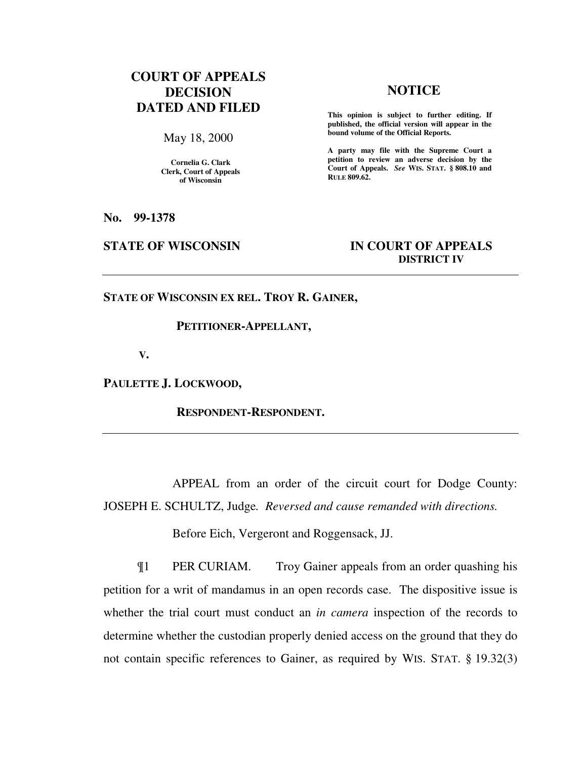# **COURT OF APPEALS DECISION DATED AND FILED**

May 18, 2000

**Cornelia G. Clark Clerk, Court of Appeals of Wisconsin** 

## **NOTICE**

**This opinion is subject to further editing. If published, the official version will appear in the bound volume of the Official Reports.**

**A party may file with the Supreme Court a petition to review an adverse decision by the Court of Appeals.** *See* **WIS. STAT. § 808.10 and RULE 809.62.** 

**No. 99-1378** 

## **STATE OF WISCONSIN IN COURT OF APPEALS DISTRICT IV**

**STATE OF WISCONSIN EX REL. TROY R. GAINER,** 

### **PETITIONER-APPELLANT,**

 **V.** 

**PAULETTE J. LOCKWOOD,** 

 **RESPONDENT-RESPONDENT.** 

APPEAL from an order of the circuit court for Dodge County: JOSEPH E. SCHULTZ, Judge*. Reversed and cause remanded with directions.*

Before Eich, Vergeront and Roggensack, JJ.

¶1 PER CURIAM. Troy Gainer appeals from an order quashing his petition for a writ of mandamus in an open records case. The dispositive issue is whether the trial court must conduct an *in camera* inspection of the records to determine whether the custodian properly denied access on the ground that they do not contain specific references to Gainer, as required by WIS. STAT. § 19.32(3)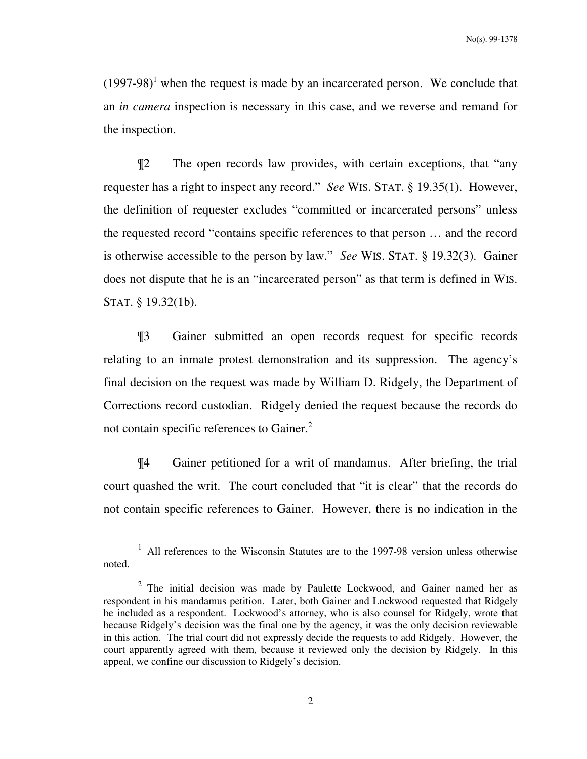$(1997-98)^1$  when the request is made by an incarcerated person. We conclude that an *in camera* inspection is necessary in this case, and we reverse and remand for the inspection.

¶2 The open records law provides, with certain exceptions, that "any requester has a right to inspect any record." *See* WIS. STAT. § 19.35(1). However, the definition of requester excludes "committed or incarcerated persons" unless the requested record "contains specific references to that person … and the record is otherwise accessible to the person by law." *See* WIS. STAT. § 19.32(3). Gainer does not dispute that he is an "incarcerated person" as that term is defined in WIS. STAT. § 19.32(1b).

¶3 Gainer submitted an open records request for specific records relating to an inmate protest demonstration and its suppression. The agency's final decision on the request was made by William D. Ridgely, the Department of Corrections record custodian. Ridgely denied the request because the records do not contain specific references to Gainer.<sup>2</sup>

¶4 Gainer petitioned for a writ of mandamus. After briefing, the trial court quashed the writ. The court concluded that "it is clear" that the records do not contain specific references to Gainer. However, there is no indication in the

-

<sup>&</sup>lt;sup>1</sup> All references to the Wisconsin Statutes are to the 1997-98 version unless otherwise noted.

 $2$  The initial decision was made by Paulette Lockwood, and Gainer named her as respondent in his mandamus petition. Later, both Gainer and Lockwood requested that Ridgely be included as a respondent. Lockwood's attorney, who is also counsel for Ridgely, wrote that because Ridgely's decision was the final one by the agency, it was the only decision reviewable in this action. The trial court did not expressly decide the requests to add Ridgely. However, the court apparently agreed with them, because it reviewed only the decision by Ridgely. In this appeal, we confine our discussion to Ridgely's decision.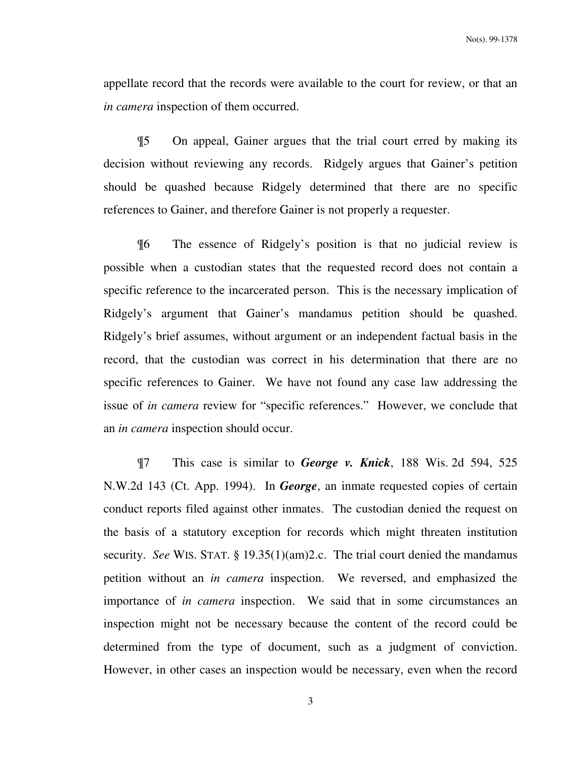appellate record that the records were available to the court for review, or that an *in camera* inspection of them occurred.

¶5 On appeal, Gainer argues that the trial court erred by making its decision without reviewing any records. Ridgely argues that Gainer's petition should be quashed because Ridgely determined that there are no specific references to Gainer, and therefore Gainer is not properly a requester.

¶6 The essence of Ridgely's position is that no judicial review is possible when a custodian states that the requested record does not contain a specific reference to the incarcerated person. This is the necessary implication of Ridgely's argument that Gainer's mandamus petition should be quashed. Ridgely's brief assumes, without argument or an independent factual basis in the record, that the custodian was correct in his determination that there are no specific references to Gainer. We have not found any case law addressing the issue of *in camera* review for "specific references." However, we conclude that an *in camera* inspection should occur.

¶7 This case is similar to *George v. Knick*, 188 Wis. 2d 594, 525 N.W.2d 143 (Ct. App. 1994). In *George*, an inmate requested copies of certain conduct reports filed against other inmates. The custodian denied the request on the basis of a statutory exception for records which might threaten institution security. *See* WIS. STAT. § 19.35(1)(am)2.c. The trial court denied the mandamus petition without an *in camera* inspection. We reversed, and emphasized the importance of *in camera* inspection. We said that in some circumstances an inspection might not be necessary because the content of the record could be determined from the type of document, such as a judgment of conviction. However, in other cases an inspection would be necessary, even when the record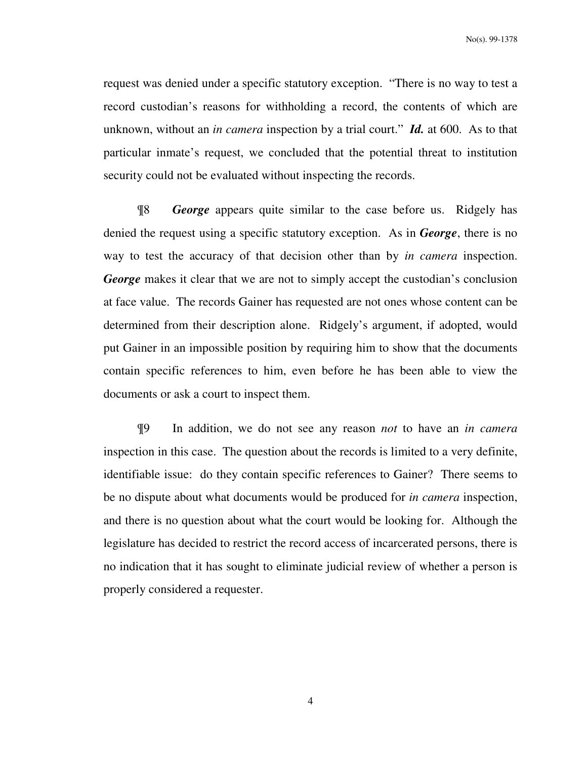request was denied under a specific statutory exception. "There is no way to test a record custodian's reasons for withholding a record, the contents of which are unknown, without an *in camera* inspection by a trial court." *Id.* at 600. As to that particular inmate's request, we concluded that the potential threat to institution security could not be evaluated without inspecting the records.

¶8 *George* appears quite similar to the case before us. Ridgely has denied the request using a specific statutory exception. As in *George*, there is no way to test the accuracy of that decision other than by *in camera* inspection. *George* makes it clear that we are not to simply accept the custodian's conclusion at face value. The records Gainer has requested are not ones whose content can be determined from their description alone. Ridgely's argument, if adopted, would put Gainer in an impossible position by requiring him to show that the documents contain specific references to him, even before he has been able to view the documents or ask a court to inspect them.

¶9 In addition, we do not see any reason *not* to have an *in camera* inspection in this case. The question about the records is limited to a very definite, identifiable issue: do they contain specific references to Gainer? There seems to be no dispute about what documents would be produced for *in camera* inspection, and there is no question about what the court would be looking for. Although the legislature has decided to restrict the record access of incarcerated persons, there is no indication that it has sought to eliminate judicial review of whether a person is properly considered a requester.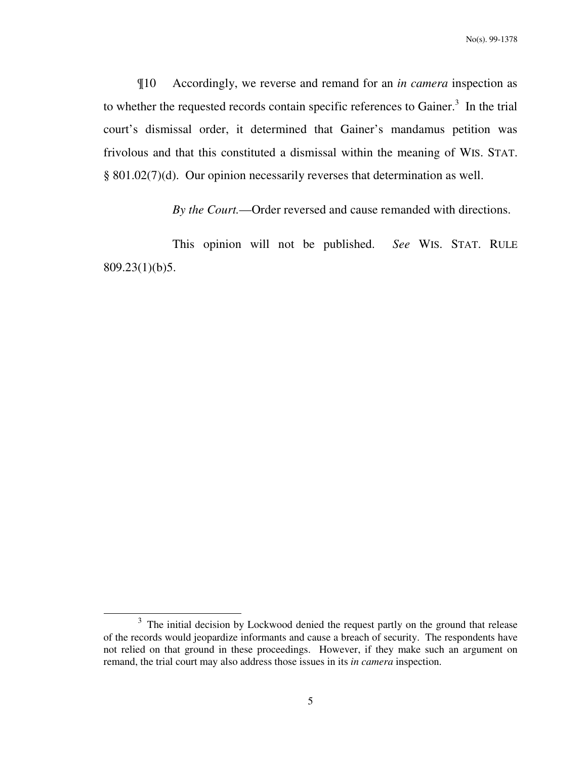¶10 Accordingly, we reverse and remand for an *in camera* inspection as to whether the requested records contain specific references to Gainer. $3$  In the trial court's dismissal order, it determined that Gainer's mandamus petition was frivolous and that this constituted a dismissal within the meaning of WIS. STAT. § 801.02(7)(d). Our opinion necessarily reverses that determination as well.

*By the Court.*—Order reversed and cause remanded with directions.

 This opinion will not be published. *See* WIS. STAT. RULE 809.23(1)(b)5.

-

 $3$  The initial decision by Lockwood denied the request partly on the ground that release of the records would jeopardize informants and cause a breach of security. The respondents have not relied on that ground in these proceedings. However, if they make such an argument on remand, the trial court may also address those issues in its *in camera* inspection.